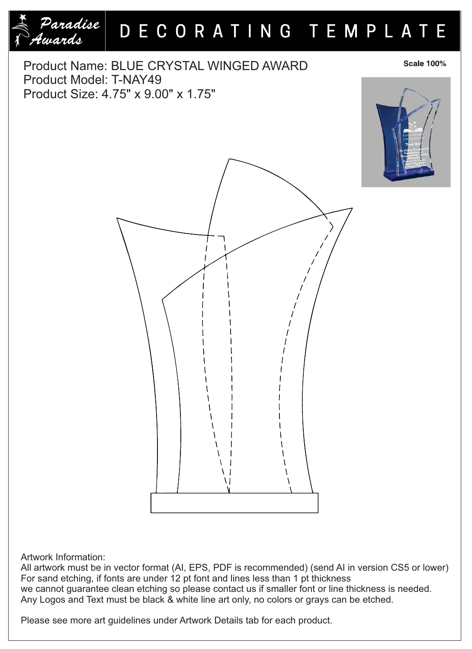



## Artwork Information:

All artwork must be in vector format (AI, EPS, PDF is recommended) (send AI in version CS5 or lower) For sand etching, if fonts are under 12 pt font and lines less than 1 pt thickness we cannot guarantee clean etching so please contact us if smaller font or line thickness is needed. Any Logos and Text must be black & white line art only, no colors or grays can be etched.

Please see more art guidelines under Artwork Details tab for each product.